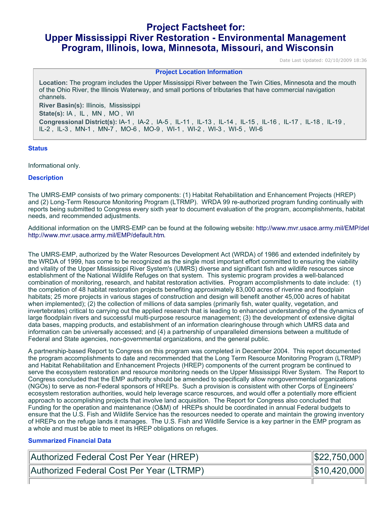# **Project Factsheet for: Upper Mississippi River Restoration - Environmental Management Program, Illinois, Iowa, Minnesota, Missouri, and Wisconsin**

Date Last Updated: 02/10/2009 18:36

#### **Project Location Information**

**Location:** The program includes the Upper Mississippi River between the Twin Cities, Minnesota and the mouth of the Ohio River, the Illinois Waterway, and small portions of tributaries that have commercial navigation channels. **River Basin(s):** Illinois, Mississippi **State(s):** IA , IL , MN , MO , WI **Congressional District(s):** IA-1 , IA-2 , IA-5 , IL-11 , IL-13 , IL-14 , IL-15 , IL-16 , IL-17 , IL-18 , IL-19 , IL-2 , IL-3 , MN-1 , MN-7 , MO-6 , MO-9 , WI-1 , WI-2 , WI-3 , WI-5 , WI-6

## **Status**

Informational only.

## **Description**

The UMRS-EMP consists of two primary components: (1) Habitat Rehabilitation and Enhancement Projects (HREP) and (2) Long-Term Resource Monitoring Program (LTRMP). WRDA 99 re-authorized program funding continually with reports being submitted to Congress every sixth year to document evaluation of the program, accomplishments, habitat needs, and recommended adjustments.

Additional information on the UMRS-EMP can be found at the following website: [h](http://www.mvr.usace.army.mil/EMP/default.htm)ttp://www.mvr.usace.army.mil/EMP/def <http://www.mvr.usace.army.mil/EMP/default.htm>.

The UMRS-EMP, authorized by the Water Resources Development Act (WRDA) of 1986 and extended indefinitely by the WRDA of 1999, has come to be recognized as the single most important effort committed to ensuring the viability and vitality of the Upper Mississippi River System's (UMRS) diverse and significant fish and wildlife resources since establishment of the National Wildlife Refuges on that system. This systemic program provides a well-balanced combination of monitoring, research, and habitat restoration activities. Program accomplishments to date include: (1) the completion of 48 habitat restoration projects benefiting approximately 83,000 acres of riverine and floodplain habitats; 25 more projects in various stages of construction and design will benefit another 45,000 acres of habitat when implemented); (2) the collection of millions of data samples (primarily fish, water quality, vegetation, and invertebrates) critical to carrying out the applied research that is leading to enhanced understanding of the dynamics of large floodplain rivers and successful multi-purpose resource management; (3) the development of extensive digital data bases, mapping products, and establishment of an information clearinghouse through which UMRS data and information can be universally accessed; and (4) a partnership of unparalleled dimensions between a multitude of Federal and State agencies, non-governmental organizations, and the general public.

A partnership-based Report to Congress on this program was completed in December 2004. This report documented the program accomplishments to date and recommended that the Long Term Resource Monitoring Program (LTRMP) and Habitat Rehabilitation and Enhancement Projects (HREP) components of the current program be continued to serve the ecosystem restoration and resource monitoring needs on the Upper Mississippi River System. The Report to Congress concluded that the EMP authority should be amended to specifically allow nongovernmental organizations (NGOs) to serve as non-Federal sponsors of HREPs. Such a provision is consistent with other Corps of Engineers' ecosystem restoration authorities, would help leverage scarce resources, and would offer a potentially more efficient approach to accomplishing projects that involve land acquisition. The Report for Congress also concluded that Funding for the operation and maintenance (O&M) of HREPs should be coordinated in annual Federal budgets to ensure that the U.S. Fish and Wildlife Service has the resources needed to operate and maintain the growing inventory of HREPs on the refuge lands it manages. The U.S. Fish and Wildlife Service is a key partner in the EMP program as a whole and must be able to meet its HREP obligations on refuges.

# **Summarized Financial Data**

| Authorized Federal Cost Per Year (HREP)  | $\  $22,750,000 \ $ |
|------------------------------------------|---------------------|
| Authorized Federal Cost Per Year (LTRMP) | $\ $10,420,000\ $   |
|                                          |                     |